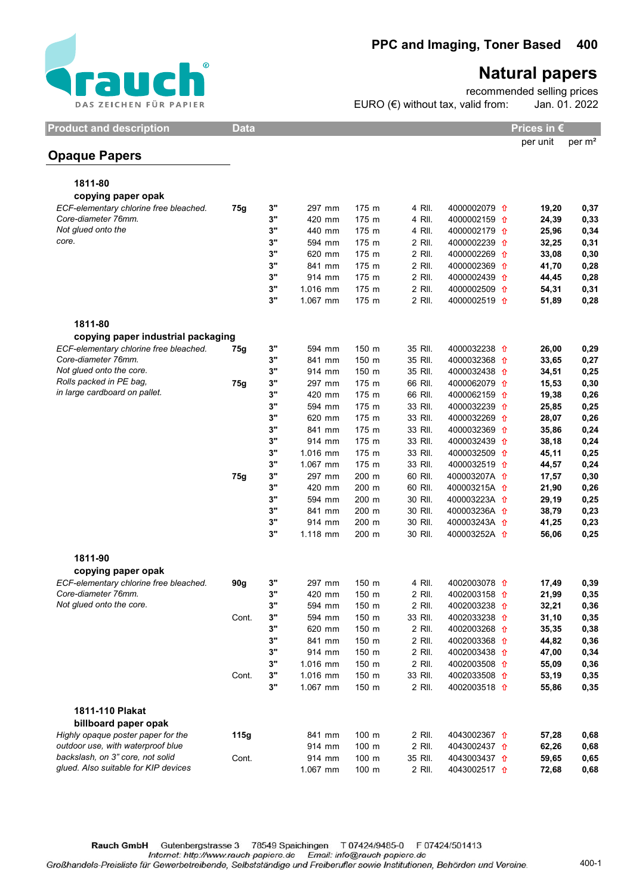

## Natural papers

recommended selling prices EURO (€) without tax, valid from: Jan. 01. 2022

Product and description Data Data Prices in €

per unit per m²

## Opaque Papers

| 1811-80                                |       |          |                  |       |                  |                         |       |      |
|----------------------------------------|-------|----------|------------------|-------|------------------|-------------------------|-------|------|
| copying paper opak                     |       |          |                  |       |                  |                         |       |      |
| ECF-elementary chlorine free bleached. | 75g   | 3"       | 297 mm           | 175 m | 4 RII.           | 4000002079 1            | 19,20 | 0,37 |
| Core-diameter 76mm.                    |       | 3"       | 420 mm           | 175 m | 4 RII.           | 4000002159 <del>1</del> | 24,39 | 0,33 |
| Not glued onto the                     |       | 3"       | 440 mm           | 175 m | 4 RII.           | 4000002179 <del>1</del> | 25,96 | 0,34 |
| core.                                  |       | 3"       | 594 mm           | 175 m | 2 RII.           | 4000002239 <del>1</del> | 32,25 | 0,31 |
|                                        |       | 3"       | 620 mm           | 175 m | 2 RII.           | 4000002269 1            | 33,08 | 0,30 |
|                                        |       | 3"       | 841 mm           | 175 m | 2 RII.           | 4000002369 1            | 41,70 | 0,28 |
|                                        |       | 3"       | 914 mm           | 175 m | 2 RII.           | 4000002439 <del>1</del> | 44,45 | 0,28 |
|                                        |       | 3"       | 1.016 mm         | 175 m | 2 RII.           | 4000002509 1            | 54,31 | 0,31 |
|                                        |       | 3"       | 1.067 mm         | 175 m | 2 RII.           | 4000002519 <del>1</del> | 51,89 | 0,28 |
| 1811-80                                |       |          |                  |       |                  |                         |       |      |
| copying paper industrial packaging     |       |          |                  |       |                  |                         |       |      |
| ECF-elementary chlorine free bleached. | 75g   | 3"       | 594 mm           | 150 m | 35 RII.          | 4000032238 1            | 26,00 | 0,29 |
| Core-diameter 76mm.                    |       | 3"       | 841 mm           | 150 m | 35 RII.          | 4000032368 1            | 33,65 | 0,27 |
| Not glued onto the core.               |       | 3"       | 914 mm           | 150 m | 35 RII.          | 4000032438 1            | 34,51 | 0,25 |
| Rolls packed in PE bag,                | 75g   | 3"       | 297 mm           | 175 m | 66 RII.          | 4000062079 1            | 15,53 | 0,30 |
| in large cardboard on pallet.          |       | 3"       | 420 mm           | 175 m | 66 RII.          | 4000062159 <del>1</del> | 19,38 | 0,26 |
|                                        |       | 3"       | 594 mm           | 175 m | 33 RII.          | 4000032239 <del>1</del> | 25,85 | 0,25 |
|                                        |       | 3"       | 620 mm           | 175 m | 33 RII.          | 4000032269 <del>1</del> | 28,07 | 0,26 |
|                                        |       | 3"       | 841 mm           | 175 m | 33 RII.          | 4000032369 <del>1</del> | 35,86 | 0,24 |
|                                        |       | 3"       | 914 mm           | 175 m | 33 RII.          | 4000032439 <del>1</del> | 38,18 | 0,24 |
|                                        |       | 3"       | 1.016 mm         | 175 m | 33 RII.          | 4000032509 <del>1</del> | 45,11 | 0,25 |
|                                        |       | 3"       | 1.067 mm         | 175 m | 33 RII.          | 4000032519 1            | 44,57 | 0,24 |
|                                        | 75g   | 3"       | 297 mm           | 200 m | 60 RII.          | 400003207A 1            | 17,57 | 0,30 |
|                                        |       | 3"       | 420 mm           | 200 m | 60 RII.          | 400003215A <del>1</del> | 21,90 | 0,26 |
|                                        |       | 3"       | 594 mm           | 200 m | 30 RII.          | 400003223A <del>1</del> | 29,19 | 0,25 |
|                                        |       | 3"       | 841 mm           | 200 m | 30 RII.          | 400003236A <del>1</del> | 38,79 | 0,23 |
|                                        |       | 3"       | 914 mm           | 200 m | 30 RII.          | 400003243A <del>1</del> | 41,25 | 0,23 |
|                                        |       | 3"       | 1.118 mm         | 200 m | 30 RII.          | 400003252A <del>1</del> | 56,06 | 0,25 |
| 1811-90                                |       |          |                  |       |                  |                         |       |      |
| copying paper opak                     |       |          |                  |       |                  |                         |       |      |
| ECF-elementary chlorine free bleached. | 90g   | 3"       | 297 mm           | 150 m | 4 RII.           | 4002003078 <del>1</del> | 17,49 | 0,39 |
| Core-diameter 76mm.                    |       | 3"       | 420 mm           | 150 m | 2 RII.           | 4002003158 1            | 21,99 | 0,35 |
| Not glued onto the core.               |       | 3"       | 594 mm           | 150 m | 2 RII.           | 4002003238 <del>1</del> | 32,21 | 0,36 |
|                                        | Cont. | 3"       | 594 mm           | 150 m | 33 RII.          | 4002033238 <del>1</del> | 31,10 | 0,35 |
|                                        |       | 3"       | 620 mm           | 150 m | 2 RII.           | 4002003268 <del>1</del> | 35,35 | 0,38 |
|                                        |       | 3"       |                  | 150 m |                  |                         |       |      |
|                                        |       | $3"$     | 841 mm<br>914 mm | 150 m | 2 RII.<br>2 RII. | 4002003368 1            | 44,82 | 0,36 |
|                                        |       | 3"       |                  |       |                  | 4002003438 <del>1</del> | 47,00 | 0,34 |
|                                        |       |          | 1.016 mm         | 150 m | 2 RII.           | 4002003508 <del>1</del> | 55,09 | 0,36 |
|                                        | Cont. | 3"<br>3" | 1.016 mm         | 150 m | 33 RII.          | 4002033508 <del>1</del> | 53,19 | 0,35 |
|                                        |       |          | 1.067 mm         | 150 m | 2 RII.           | 4002003518 <del>1</del> | 55,86 | 0,35 |
| 1811-110 Plakat                        |       |          |                  |       |                  |                         |       |      |
| billboard paper opak                   |       |          |                  |       |                  |                         |       |      |
| Highly opaque poster paper for the     | 115g  |          | 841 mm           | 100 m | 2 RII.           | 4043002367 1            | 57,28 | 0,68 |
| outdoor use, with waterproof blue      |       |          | 914 mm           | 100 m | 2 RII.           | 4043002437 <del>1</del> | 62,26 | 0,68 |
| backslash, on 3" core, not solid       | Cont. |          | 914 mm           | 100 m | 35 RII.          | 4043003437 1            | 59,65 | 0,65 |
| glued. Also suitable for KIP devices   |       |          | 1.067 mm         | 100 m | 2 RII.           | 4043002517 1            | 72,68 | 0,68 |